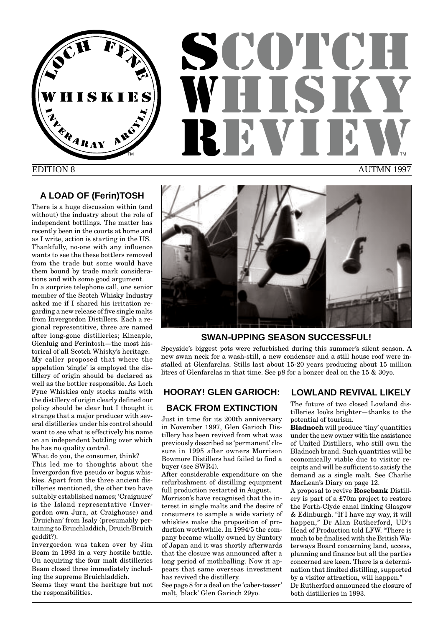

## EDITION 8

## **A LOAD OF (Ferin)TOSH**

There is a huge discussion within (and without) the industry about the role of independent bottlings. The matter has recently been in the courts at home and as I write, action is starting in the US. Thankfully, no-one with any influence wants to see the these bottlers removed from the trade but some would have them bound by trade mark considerations and with some good argument.

In a surprise telephone call, one senior member of the Scotch Whisky Industry asked me if I shared his irritation regarding a new release of five single malts from Invergordon Distillers. Each a regional representitive, three are named after long-gone distilleries; Kincaple, Glenluig and Ferintosh—the most historical of all Scotch Whisky's heritage. My caller proposed that where the appelation 'single' is employed the distillery of origin should be declared as well as the bottler responsible. As Loch Fyne Whiskies only stocks malts with the distillery of origin clearly defined our policy should be clear but I thought it strange that a major producer with several distilleries under his control should want to see what is effectively his name on an independent bottling over which he has no quality control.

What do you, the consumer, think? This led me to thoughts about the Invergordon five pseudo or bogus whiskies. Apart from the three ancient distilleries mentioned, the other two have suitably established names; 'Craignure' is the Island representative (Invergordon own Jura, at Craighouse) and 'Druichan' from Isaly (presumably pertaining to Bruichladdich, Druich/Bruich geddit?).

Invergordon was taken over by Jim Beam in 1993 in a very hostile battle. On acquiring the four malt distilleries Beam closed three immediately including the supreme Bruichladdich. Seems they want the heritage but not the responsibilities.



## **SWAN-UPPING SEASON SUCCESSFUL!**

Speyside's biggest pots were refurbished during this summer's silent season. A new swan neck for a wash-still, a new condenser and a still house roof were installed at Glenfarclas. Stills last about 15-20 years producing about 15 million litres of Glenfarclas in that time. See p8 for a bonzer deal on the 15 & 30yo.

## **HOORAY! GLEN GARIOCH:**

## **BACK FROM EXTINCTION**

Just in time for its 200th anniversary in November 1997, Glen Garioch Distillery has been revived from what was previously described as 'permanent' closure in 1995 after owners Morrison Bowmore Distillers had failed to find a buyer (see SWR4).

After considerable expenditure on the refurbishment of distilling equipment full production restarted in August.

Morrison's have recognised that the interest in single malts and the desire of consumers to sample a wide variety of whiskies make the proposition of production worthwhile. In 1994/5 the company became wholly owned by Suntory of Japan and it was shortly afterwards that the closure was announced after a long period of mothballing. Now it appears that same overseas investment has revived the distillery.

See page 8 for a deal on the 'caber-tosser' malt, 'black' Glen Garioch 29yo.

## **LOWLAND REVIVAL LIKELY**

The future of two closed Lowland distilleries looks brighter—thanks to the potential of tourism.

**Bladnoch** will produce 'tiny' quantities under the new owner with the assistance of United Distillers, who still own the Bladnoch brand. Such quantities will be economically viable due to visitor receipts and will be sufficient to satisfy the demand as a single malt. See Charlie MacLean's Diary on page 12.

A proposal to revive **Rosebank** Distillery is part of a £70m project to restore the Forth-Clyde canal linking Glasgow & Edinburgh. "If I have my way, it will happen," Dr Alan Rutherford, UD's Head of Production told LFW. "There is much to be finalised with the British Waterways Board concerning land, access, planning and finance but all the parties concerned are keen. There is a determination that limited distilling, supported by a visitor attraction, will happen." Dr Rutherford announced the closure of both distilleries in 1993.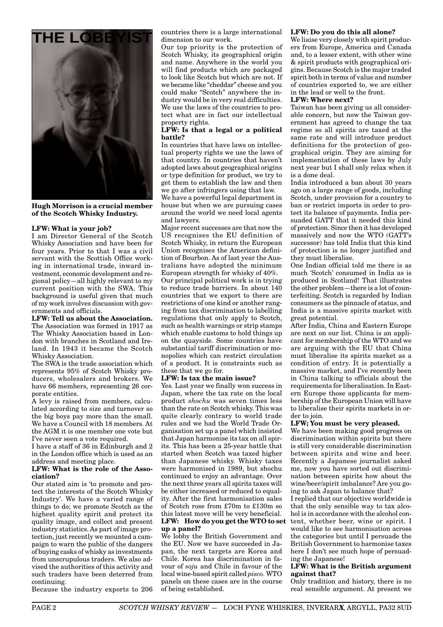

**Hugh Morrison is a crucial member of the Scotch Whisky Industry.**

#### **LFW: What is your job?**

I am Director General of the Scotch Whisky Association and have been for four years. Prior to that I was a civil servant with the Scottish Office working in international trade, inward investment, economic development and regional policy—all highly relevant to my current position with the SWA. This background is useful given that much of my work involves discussion with governments and officials.

**LFW: Tell us about the Association.** The Association was formed in 1917 as The Whisky Association based in London with branches in Scotland and Ireland. In 1943 it became the Scotch Whisky Association.

The SWA is the trade association which represents 95% of Scotch Whisky producers, wholesalers and brokers. We have 66 members, representing 26 corporate entities.

A levy is raised from members, calculated according to size and turnover so the big boys pay more than the small. We have a Council with 18 members. At the AGM it is one member one vote but I've never seen a vote required.

I have a staff of 36 in Edinburgh and 2 in the London office which is used as an address and meeting place.

#### **LFW: What is the role of the Association?**

Our stated aim is 'to promote and protect the interests of the Scotch Whisky Industry'. We have a varied range of things to do; we promote Scotch as the highest quality spirit and protect its quality image, and collect and present industry statistics. As part of image protection, just recently we mounted a campaign to warn the public of the dangers of buying casks of whisky as investments from unscrupulous traders. We also advised the authorities of this activity and such traders have been deterred from continuing.

Because the industry exports to 206

dimension to our work.

Our top priority is the protection of Scotch Whisky, its geographical origin and name. Anywhere in the world you will find products which are packaged to look like Scotch but which are not. If we became like "cheddar" cheese and you could make "Scotch" anywhere the industry would be in very real difficulties. We use the laws of the countries to protect what are in fact our intellectual property rights.

#### **LFW: Is that a legal or a political battle?**

In countries that have laws on intellectual property rights we use the laws of that country. In countries that haven't adopted laws about geographical origins or type definition for product, we try to get them to establish the law and then we go after infringers using that law.

We have a powerful legal department in house but when we are pursuing cases around the world we need local agents and lawyers.

Major recent successes are that now the US recognises the EU definition of Scotch Whisky, in return the European Union recognises the American definition of Bourbon. As of last year the Australians have adopted the minimum European strength for whisky of 40%.

Our principal political work is in trying to reduce trade barriers. In about 140 countries that we export to there are restrictions of one kind or another ranging from tax discrimination to labelling regulations that only apply to Scotch, such as health warnings or strip stamps which enable customs to hold things up on the quayside. Some countries have substantial tariff discrimination or monopolies which can restrict circulation of a product. It is constraints such as these that we go for.

#### **LFW: Is tax the main issue?**

Yes. Last year we finally won success in Japan, where the tax rate on the local product *shochu* was seven times less than the rate on Scotch whisky. This was quite clearly contrary to world trade rules and we had the World Trade Organisation set up a panel which insisted that Japan harmonise its tax on all spirits. This has been a 25-year battle that started when Scotch was taxed higher than Japanese whisky. Whisky taxes were harmonised in 1989, but shochu continued to enjoy an advantage. Over the next three years all spirits taxes will be either increased or reduced to equality. After the first harmonisation sales of Scotch rose from £70m to £130m so this latest move will be very beneficial.

#### **LFW: How do you get the WTO to set up a panel?**

We lobby the British Government and the EU. Now we have succeeded in Japan, the next targets are Korea and Chile. Korea has discrimination in favour of *soju* and Chile in favour of the local wine-based spirit called *pisco*. WTO panels on these cases are in the course of being established.

#### **LFW: Do you do this all alone?**

We liaise very closely with spirit producers from Europe, America and Canada and, to a lesser extent, with other wine & spirit products with geographical origins. Because Scotch is the major traded spirit both in terms of value and number of countries exported to, we are either in the lead or well to the front.

#### **LFW: Where next?**

Taiwan has been giving us all considerable concern, but now the Taiwan government has agreed to change the tax regime so all spirits are taxed at the same rate and will introduce product definitions for the protection of geographical origin. They are aiming for implementation of these laws by July next year but I shall only relax when it is a done deal.

India introduced a ban about 30 years ago on a large range of goods, including Scotch, under provision for a country to ban or restrict imports in order to protect its balance of payments. India persuaded GATT that it needed this kind of protection. Since then it has developed massively and now the WTO (GATT's successor) has told India that this kind of protection is no longer justified and they must liberalise.

One Indian official told me there is as much 'Scotch' consumed in India as is produced in Scotland! That illustrates the other problem—there is a lot of counterfeiting. Scotch is regarded by Indian consumers as the pinnacle of status, and India is a massive spirits market with great potential.

After India, China and Eastern Europe are next on our list. China is an applicant for membership of the WTO and we are arguing with the EU that China must liberalise its spirits market as a condition of entry. It is potentially a massive market, and I've recently been in China talking to officials about the requirements for liberalisation. In Eastern Europe those applicants for membership of the European Union will have to liberalise their spirits markets in order to join.

#### **LFW; You must be very pleased.**

We have been making good progress on discrimination within spirits but there is still very considerable discrimination between spirits and wine and beer. Recently a Japanese journalist asked me, now you have sorted out discrimination between spirits how about the wine/beer/spirit imbalance? Are you going to ask Japan to balance that?

I replied that our objective worldwide is that the only sensible way to tax alcohol is in accordance with the alcohol content, whether beer, wine or spirit. I would like to see harmonisation across the categories but until I persuade the British Government to harmonise taxes here I don't see much hope of persuading the Japanese!

#### **LFW: What is the British argument against that?**

Only tradition and history, there is no real sensible argument. At present we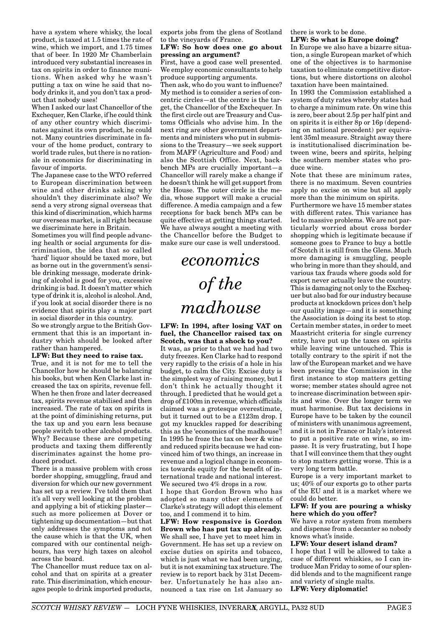have a system where whisky, the local product, is taxed at 1.5 times the rate of wine, which we import, and 1.75 times that of beer. In 1920 Mr Chamberlain introduced very substantial increases in tax on spirits in order to finance munitions. When asked why he wasn't putting a tax on wine he said that nobody drinks it, and you don't tax a product that nobody uses!

When I asked our last Chancellor of the Exchequer, Ken Clarke, if he could think of any other country which discriminates against its own product, he could not. Many countries discriminate in favour of the home product, contrary to world trade rules, but there is no rationale in economics for discriminating in favour of imports.

The Japanese case to the WTO referred to European discrimination between wine and other drinks asking why shouldn't they discriminate also? We send a very strong signal overseas that this kind of discrimination, which harms our overseas market, is all right because we discriminate here in Britain.

Sometimes you will find people advancing health or social arguments for discrimination, the idea that so called 'hard' liquor should be taxed more, but as borne out in the government's sensible drinking message, moderate drinking of alcohol is good for you, excessive drinking is bad. It doesn't matter which type of drink it is, alcohol is alcohol. And, if you look at social disorder there is no evidence that spirits play a major part in social disorder in this country.

So we strongly argue to the British Government that this is an important industry which should be looked after rather than hampered.

#### **LFW: But they need to raise tax.**

True, and it is not for me to tell the Chancellor how he should be balancing his books, but when Ken Clarke last increased the tax on spirits, revenue fell. When he then froze and later decreased tax, spirits revenue stabilised and then increased. The rate of tax on spirits is at the point of diminishing returns, put the tax up and you earn less because people switch to other alcohol products. Why? Because these are competing products and taxing them differently discriminates against the home produced product.

There is a massive problem with cross border shopping, smuggling, fraud and diversion for which our new government has set up a review. I've told them that it's all very well looking at the problem and applying a bit of sticking plaster such as more policemen at Dover or tightening up documentation—but that only addresses the symptoms and not the cause which is that the UK, when compared with our continental neighbours, has very high taxes on alcohol across the board.

The Chancellor must reduce tax on alcohol and that on spirits at a greater rate. This discrimination, which encourages people to drink imported products, exports jobs from the glens of Scotland to the vineyards of France.

#### **LFW: So how does one go about pressing an argument?**

First, have a good case well presented. We employ economic consultants to help produce supporting arguments.

Then ask, who do you want to influence? My method is to consider a series of concentric circles—at the centre is the target, the Chancellor of the Exchequer. In the first circle out are Treasury and Customs Officials who advise him. In the next ring are other government departments and ministers who put in submissions to the Treasury—we seek support from MAFF (Agriculture and Food) and also the Scottish Office. Next, backbench MPs are crucially important—a Chancellor will rarely make a change if he doesn't think he will get support from the House. The outer circle is the media, whose support will make a crucial difference. A media campaign and a few receptions for back bench MPs can be quite effective at getting things started. We have always sought a meeting with the Chancellor before the Budget to make sure our case is well understood.

# *economics of the madhouse*

**LFW: In 1994, after losing VAT on fuel, the Chancellor raised tax on Scotch, was that a shock to you?**

It was, as prior to that we had had two duty freezes. Ken Clarke had to respond very rapidly to the crisis of a hole in his budget, to calm the City. Excise duty is the simplest way of raising money, but I don't think he actually thought it through. I predicted that he would get a drop of £100m in revenue, which officials claimed was a grotesque overestimate, but it turned out to be a £123m drop. I got my knuckles rapped for describing this as the 'economics of the madhouse'! In 1995 he froze the tax on beer & wine and reduced spirits because we had convinced him of two things, an increase in revenue and a logical change in economics towards equity for the benefit of international trade and national interest. We secured two 4% drops in a row.

I hope that Gordon Brown who has adopted so many other elements of Clarke's strategy will adopt this element too, and I commend it to him.

**LFW: How responsive is Gordon Brown who has put tax up already.** We shall see, I have yet to meet him in Government. He has set up a review on excise duties on spirits and tobacco, which is just what we had been urging, but it is not examining tax structure. The review is to report back by 31st December. Unfortunately he has also announced a tax rise on 1st January so

there is work to be done.

#### **LFW: So what is Europe doing?**

In Europe we also have a bizarre situation, a single European market of which one of the objectives is to harmonise taxation to eliminate competitive distortions, but where distortions on alcohol taxation have been maintained.

In 1993 the Commission established a system of duty rates whereby states had to charge a minimum rate. On wine this is zero, beer about 2.5p per half pint and on spirits it is either 8p or 16p (depending on national precedent) per equivalent 35ml measure. Straight away there is institutionalised discrimination between wine, beers and spirits, helping the southern member states who produce wine.

Note that these are minimum rates, there is no maximum. Seven countries apply no excise on wine but all apply more than the minimum on spirits.

Furthermore we have 15 member states with different rates. This variance has led to massive problems. We are not particularly worried about cross border shopping which is legitimate because if someone goes to France to buy a bottle of Scotch it is still from the Glens. Much more damaging is smuggling, people who bring in more than they should, and various tax frauds where goods sold for export never actually leave the country. This is damaging not only to the Exchequer but also bad for our industry because products at knockdown prices don't help our quality image—and it is something the Association is doing its best to stop. Certain member states, in order to meet Maastricht criteria for single currency entry, have put up the taxes on spirits while leaving wine untouched. This is totally contrary to the spirit if not the law of the European market and we have been pressing the Commission in the first instance to stop matters getting worse; member states should agree not to increase discrimination between spirits and wine. Over the longer term we must harmonise. But tax decisions in Europe have to be taken by the council of ministers with unanimous agreement, and it is not in France or Italy's interest to put a positive rate on wine, so impasse. It is very frustrating, but I hope that I will convince them that they ought to stop matters getting worse. This is a very long term battle.

Europe is a very important market to us; 40% of our exports go to other parts of the EU and it is a market where we could do better.

#### **LFW: If you are pouring a whisky here which do you offer?**

We have a rotor system from members and dispense from a decanter so nobody knows what's inside.

#### **LFW: Your desert island dram?**

I hope that I will be allowed to take a case of different whiskies, so I can introduce Man Friday to some of our splendid blends and to the magnificent range and variety of single malts. **LFW: Very diplomatic!**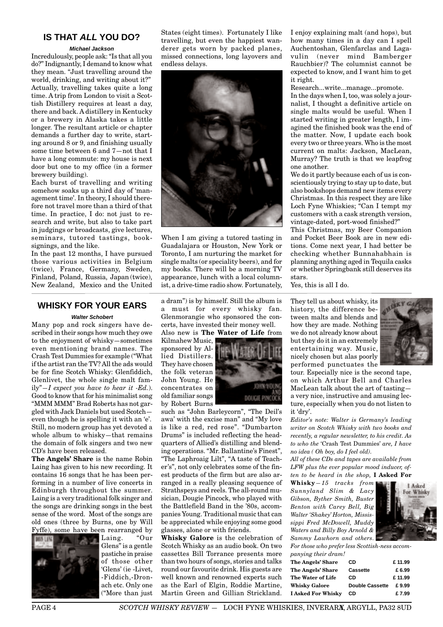## **IS THAT ALL YOU DO?**

#### **Michael Jackson**

Incredulously, people ask: "Is that all you do?" Indignantly, I demand to know what they mean. "Just travelling around the world, drinking, and writing about it?" Actually, travelling takes quite a long time. A trip from London to visit a Scottish Distillery requires at least a day, there and back. A distillery in Kentucky or a brewery in Alaska takes a little longer. The resultant article or chapter demands a further day to write, starting around 8 or 9, and finishing usually some time between 6 and 7—not that I have a long commute: my house is next door but one to my office (in a former brewery building).

Each burst of travelling and writing somehow soaks up a third day of 'management time'. In theory, I should therefore not travel more than a third of that time. In practice, I do: not just to research and write, but also to take part in judgings or broadcasts, give lectures, seminars, tutored tastings, booksignings, and the like.

In the past 12 months, I have pursued those various activities in Belgium (twice), France, Germany, Sweden, Finland, Poland, Russia, Japan (twice), New Zealand, Mexico and the United

### **WHISKY FOR YOUR EARS**

#### **Walter Schobert**

Many pop and rock singers have described in their songs how much they owe to the enjoyment of whisky—sometimes even mentioning brand names. The Crash Test Dummies for example ("What if the artist ran the TV? All the ads would be for fine Scotch Whisky: Glenfiddich, Glenlivet, the whole single malt family"*—I expect you have to hear it -Ed.*). Good to know that for his minimalist song "MMM MMM" Brad Roberts has not gargled with Jack Daniels but used Scotch even though he is spelling it with an 'e'. Still, no modern group has yet devoted a whole album to whisky—that remains the domain of folk singers and two new CD's have been released.

**The Angels' Share** is the name Robin Laing has given to his new recording. It contains 16 songs that he has been performing in a number of live concerts in Edinburgh throughout the summer. Laing is a very traditional folk singer and the songs are drinking songs in the best sense of the word. Most of the songs are old ones (three by Burns, one by Will Fyffe), some have been rearranged by

Laing. "Our Glens" is a gentle pastiche in praise of those other 'Glens' (ie -Livet, -Fiddich,-Dronach etc. Only one ("More than just States (eight times). Fortunately I like travelling, but even the happiest wanderer gets worn by packed planes, missed connections, long layovers and endless delays.



When I am giving a tutored tasting in Guadalajara or Houston, New York or Toronto, I am nurturing the market for single malts (or speciality beers), and for my books. There will be a morning TV appearance, lunch with a local columnist, a drive-time radio show. Fortunately,

a dram") is by himself. Still the album is a must for every whisky fan. Glenmorangie who sponsored the concerts, have invested their money well.

Kilmahew Music, sponsored by Allied Distillers. They have chosen the folk veteran John Young. He concentrates on old familiar songs by Robert Burns



such as "John Barleycorn", "The Deil's awa' with the excise man" and "My love is like a red, red rose". "Dumbarton Drums" is included reflecting the headquarters of Allied's distilling and blending operations. "Mr. Ballantine's Finest", "The Laphroaig Lilt", "A taste of Teacher's", not only celebrates some of the finest products of the firm but are also arranged in a really pleasing sequence of Strathspeys and reels. The all-round musician, Dougie Pincock, who played with the Battlefield Band in the '80s, accompanies Young. Traditional music that can be appreciated while enjoying some good glasses, alone or with friends.

**Whisky Galore** is the celebration of Scotch Whisky as an audio book. On two cassettes Bill Torrance presents more than two hours of songs, stories and talks round our favourite drink. His guests are well known and renowned experts such as the Earl of Elgin, Roddie Martine, Martin Green and Gillian Strickland.

I enjoy explaining malt (and hops), but how many times in a day can I spell Auchentoshan, Glenfarclas and Lagavulin (never mind Bamberger Rauchbier)? The columnist cannot be expected to know, and I want him to get it right.

Research...write...manage...promote.

In the days when I, too, was solely a journalist, I thought a definitive article on single malts would be useful. When I started writing in greater length, I imagined the finished book was the end of the matter. Now, I update each book every two or three years. Who is the most current on malts: Jackson, MacLean, Murray? The truth is that we leapfrog one another.

We do it partly because each of us is conscientiously trying to stay up to date, but also bookshops demand new items every Christmas. In this respect they are like Loch Fyne Whiskies; "Can I tempt my customers with a cask strength version, vintage-dated, port-wood finished?"

This Christmas, my Beer Companion and Pocket Beer Book are in new editions. Come next year, I had better be checking whether Bunnahabhain is planning anything aged in Tequila casks or whether Springbank still deserves its stars.

Yes, this is all I do.

They tell us about whisky, its history, the difference between malts and blends and how they are made. Nothing we do not already know about but they do it in an extremely entertaining way. Music, nicely chosen but alas poorly performed punctuates the



tour. Especially nice is the second tape, on which Arthur Bell and Charles MacLean talk about the art of tasting a very nice, instructive and amusing lecture, especially when you do not listen to it 'dry'.

*Editor's note: Walter is Germany's leading writer on Scotch Whisky with two books and recently, a regular newsletter, to his credit. As to who the* 'Crash Test Dummies' *are, I have no idea ( Oh boy, do I feel old).*

*All of these CDs and tapes are available from LFW plus the ever popular mood inducer, often to be heard in the shop,* **I Asked For**

**Whisky***—15 tracks from Sunnyland Slim & Lacy Gibson, Byther Smith, Buster Benton with Carey Bell, Big Walter 'Shakey' Horton, Mississippi Fred McDowell, Muddy Waters and Billy Boy Arnold & Sammy Lawhorn and others.*



*For those who prefer less Scottish-ness accompanying their dram!*

| panying men aram:         |                        |        |
|---------------------------|------------------------|--------|
| The Angels' Share         | CD                     | £11.99 |
| The Angels' Share         | <b>Cassette</b>        | £6.99  |
| The Water of Life         | CD                     | £11.99 |
| <b>Whisky Galore</b>      | <b>Double Cassette</b> | £9.99  |
| <b>I Asked For Whisky</b> | CD                     | £ 7.99 |
|                           |                        |        |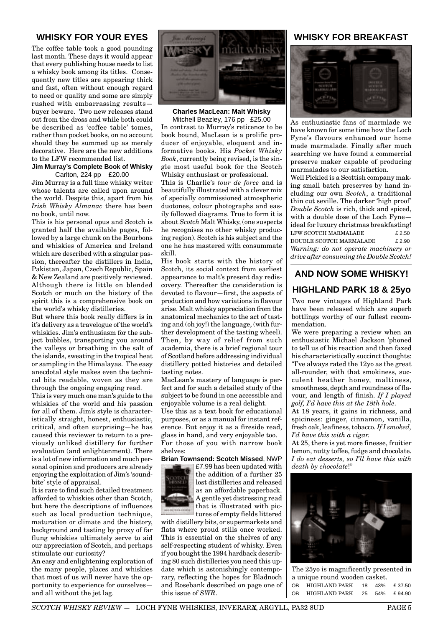## **WHISKY FOR YOUR EYES**

The coffee table took a good pounding last month. These days it would appear that every publishing house needs to list a whisky book among its titles. Consequently new titles are appearing thick and fast, often without enough regard to need or quality and some are simply rushed with embarrassing results buyer beware. Two new releases stand out from the dross and while both could be described as 'coffee table' tomes, rather than pocket books, on no account should they be summed up as merely decorative. Here are the new additions to the LFW recommended list.

#### **Jim Murray's Complete Book of Whisky** Carlton, 224 pp £20.00

Jim Murray is a full time whisky writer whose talents are called upon around the world. Despite this, apart from his *Irish Whisky Almanac* there has been no book, until now.

This is his personal opus and Scotch is granted half the available pages, followed by a large chunk on the Bourbons and whiskies of America and Ireland which are described with a singular passion, thereafter the distillers in India, Pakistan, Japan, Czech Republic, Spain & New Zealand are positively reviewed. Although there is little on blended Scotch or much on the history of the spirit this is a comprehensive book on the world's whisky distilleries.

But where this book really differs is in it's delivery as a travelogue of the world's whiskies. Jim's enthusiasm for the subject bubbles, transporting you around the valleys or breathing in the salt of the islands, sweating in the tropical heat or sampling in the Himalayas. The easy anecdotal style makes even the technical bits readable, woven as they are through the ongoing engaging read.

This is very much one man's guide to the whiskies of the world and his passion for all of them. Jim's style is characteristically straight, honest, enthusiastic, critical, and often surprising—he has caused this reviewer to return to a previously unliked distillery for further evaluation (and enlightenment). There is a lot of new information and much personal opinion and producers are already enjoying the exploitation of Jim's 'soundbite' style of appraisal.

It is rare to find such detailed treatment afforded to whiskies other than Scotch, but here the descriptions of influences such as local production technique, maturation or climate and the history, background and tasting by proxy of far flung whiskies ultimately serve to aid our appreciation of Scotch, and perhaps stimulate our curiosity?

An easy and enlightening exploration of the many people, places and whiskies that most of us will never have the opportunity to experience for ourselves and all without the jet lag.



**Charles MacLean: Malt Whisky** Mitchell Beazley, 176 pp £25.00

In contrast to Murray's reticence to be book bound, MacLean is a prolific producer of enjoyable, eloquent and informative books. His *Pocket Whisky Book*, currently being revised, is the single most useful book for the Scotch Whisky enthusiast or professional. This is Charlie's *tour de force* and is beautifully illustrated with a clever mix of specially commissioned atmospheric duotones, colour photographs and easily followed diagrams. True to form it is about *Scotch* Malt Whisky, (one suspects he recognises no other whisky producing region). Scotch is his subject and the one he has mastered with consummate skill.

His book starts with the history of Scotch, its social context from earliest appearance to malt's present day rediscovery. Thereafter the consideration is devoted to flavour—first, the aspects of production and how variations in flavour arise. Malt whisky appreciation from the anatomical mechanics to the act of tasting and (oh joy!) the language, (with further development of the tasting wheel). Then, by way of relief from such academia, there is a brief regional tour of Scotland before addressing individual distillery potted histories and detailed tasting notes.

MacLean's mastery of language is perfect and for such a detailed study of the subject to be found in one accessible and enjoyable volume is a real delight.

Use this as a text book for educational purposes, or as a manual for instant reference. But enjoy it as a fireside read, glass in hand, and very enjoyable too. For those of you with narrow book shelves:

**Brian Townsend: Scotch Missed**, NWP



£7.99 has been updated with the addition of a further 25 lost distilleries and released as an affordable paperback. A gentle yet distressing read that is illustrated with pictures of empty fields littered

with distillery bits, or supermarkets and flats where proud stills once worked. This is essential on the shelves of any self-respecting student of whisky. Even if you bought the 1994 hardback describing 80 such distilleries you need this update which is astonishingly contemporary, reflecting the hopes for Bladnoch and Rosebank described on page one of this issue of *SWR*.

## **WHISKY FOR BREAKFAST**



As enthusiastic fans of marmlade we have known for some time how the Loch Fyne's flavours enhanced our home made marmalade. Finally after much searching we have found a commercial preserve maker capable of producing marmalades to our satisfaction.

Well Pickled is a Scottish company making small batch preserves by hand including our own *Scotch*, a traditional thin cut seville. The darker 'high proof' *Double Scotch* is rich, thick and spiced, with a double dose of the Loch Fyne ideal for luxury christmas breakfasting! LFW SCOTCH MARMALADE £ 2.50 DOUBLE SCOTCH MARMALADE £ 2.90 *Warning: do not operate machinery or drive after consuming the Double Scotch!*

## **AND NOW SOME WHISKY!**

## **HIGHLAND PARK 18 & 25yo**

Two new vintages of Highland Park have been released which are superb bottlings worthy of our fullest recommendation.

We were preparing a review when an enthusiastic Michael Jackson 'phoned to tell us of his reaction and then faxed his characteristically succinct thoughts: "I've always rated the 12yo as the great all-rounder, with that smokiness, succulent heather honey, maltiness, smoothness, depth and roundness of flavour, and length of finish. *If I played golf, I'd have this at the 18th hole*.

At 18 years, it gains in richness, and spiciness: ginger, cinnamon, vanilla, fresh oak, leafiness, tobacco. *If I smoked, I'd have this with a cigar.*

At 25, there is yet more finesse, fruitier lemon, nutty toffee, fudge and chocolate. *I do eat desserts, so I'll have this with death by chocolate*!"



The 25yo is magnificently presented in a unique round wooden casket. OB HIGHLAND PARK 18 43% £ 37.50 OB HIGHLAND PARK 25 54% £ 94.90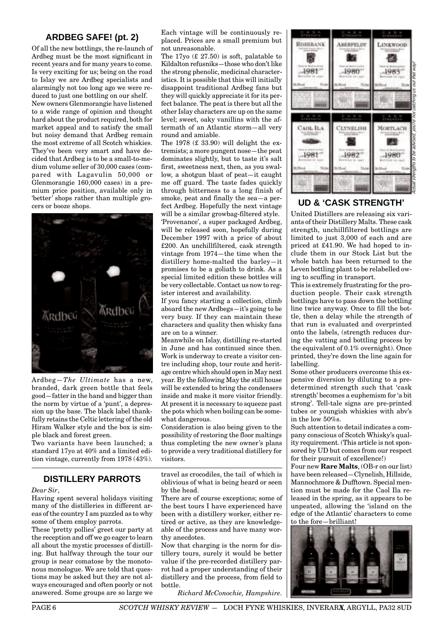## **ARDBEG SAFE! (pt. 2)**

Of all the new bottlings, the re-launch of Ardbeg must be the most significant in recent years and for many years to come. Is very exciting for us; being on the road to Islay we are Ardbeg specialists and alarmingly not too long ago we were reduced to just one bottling on our shelf. New owners Glenmorangie have listened to a wide range of opinion and thought hard about the product required, both for market appeal and to satisfy the small but noisy demand that Ardbeg remain the most extreme of all Scotch whiskies. They've been very smart and have decided that Ardbeg is to be a small-to-medium volume seller of 30,000 cases (compared with Lagavulin 50,000 or Glenmorangie 160,000 cases) in a premium price position, available only in 'better' shops rather than multiple grocers or booze shops.



Ardbeg—*The Ultimate* has a new, branded, dark green bottle that feels good—fatter in the hand and bigger than the norm by virtue of a 'punt', a depression up the base. The black label thankfully retains the Celtic lettering of the old Hiram Walker style and the box is simple black and forest green.

Two variants have been launched; a standard 17yo at 40% and a limited edition vintage, currently from 1978 (43%).

## **DISTILLERY PARROTS**

#### *Dear Sir*,

Having spent several holidays visiting many of the distilleries in different areas of the country I am puzzled as to why some of them employ parrots.

These 'pretty pollies' greet our party at the reception and off we go eager to learn all about the mystic processes of distilling. But halfway through the tour our group is near comatose by the monotonous monologue. We are told that questions may be asked but they are not always encouraged and often poorly or not answered. Some groups are so large we Each vintage will be continuously replaced. Prices are a small premium but not unreasonable.

The  $17y0 \text{ } (\text{\textsterling} 27.50)$  is soft, palatable to Kildalton refusniks—those who don't like the strong phenolic, medicinal characteristics. It is possible that this will initially disappoint traditional Ardbeg fans but they will quickly appreciate it for its perfect balance. The peat is there but all the other Islay characters are up on the same level; sweet, oaky vanillins with the aftermath of an Atlantic storm—all very round and amiable.

The 1978 (£ 33.90) will delight the extremists; a more pungent nose—the peat dominates slightly, but to taste it's salt first, sweetness next, then, as you swallow, a shotgun blast of peat—it caught me off guard. The taste fades quickly through bitterness to a long finish of smoke, peat and finally the sea—a perfect Ardbeg. Hopefully the next vintage will be a similar growbag-filtered style. 'Provenance', a super packaged Ardbeg, will be released soon, hopefully during December 1997 with a price of about £200. An unchillfiltered, cask strength vintage from 1974—the time when the distillery home-malted the barley—it promises to be a goliath to drink. As a special limited edition these bottles will be very collectable. Contact us now to register interest and availability.

If you fancy starting a collection, climb aboard the new Ardbegs—it's going to be very busy. If they can maintain these characters and quality then whisky fans are on to a winner.

Meanwhile on Islay, distilling re-started in June and has continued since then. Work is underway to create a visitor centre including shop, tour route and heritage centre which should open in May next year. By the following May the still house will be extended to bring the condensers inside and make it more visitor friendly. At present it is necessary to squeeze past the pots which when boiling can be somewhat dangerous.

Consideration is also being given to the possibility of restoring the floor maltings thus completing the new owner's plans to provide a very traditional distillery for visitors.

travel as crocodiles, the tail of which is oblivious of what is being heard or seen by the head.

There are of course exceptions; some of the best tours I have experienced have been with a distillery worker, either retired or active, as they are knowledgeable of the process and have many worthy anecdotes.

Now that charging is the norm for distillery tours, surely it would be better value if the pre-recorded distillery parrot had a proper understanding of their distillery and the process, from field to bottle.

*Richard McConochie, Hampshire.*



## **UD & 'CASK STRENGTH'**

United Distillers are releasing six variants of their Distillery Malts. These cask strength, unchillfiltered bottlings are limited to just 3,000 of each and are priced at £41.90. We had hoped to include them in our Stock List but the whole batch has been returned to the Leven bottling plant to be relabelled owing to scuffing in transport.

This is extremely frustrating for the production people. Their cask strength bottlings have to pass down the bottling line twice anyway. Once to fill the bottle, then a delay while the strength of that run is evaluated and overprinted onto the labels, (strength reduces during the vatting and bottling process by the equivalent of 0.1% overnight). Once printed, they're down the line again for labelling.

Some other producers overcome this expensive diversion by diluting to a predetermined strength such that 'cask strength' becomes a euphemism for 'a bit strong'. Tell-tale signs are pre-printed tubes or youngish whiskies with abv's in the low 50%s.

Such attention to detail indicates a company conscious of Scotch Whisky's quality requirement. (This article is not sponsored by UD but comes from our respect for their pursuit of excellence!)

Four new **Rare Malts**, (OB-r on our list) have been released—Clynelish, Hillside, Mannochmore & Dufftown. Special mention must be made for the Caol Ila released in the spring, as it appears to be unpeated, allowing the 'island on the edge of the Atlantic' characters to come to the fore—brilliant!



**PAGE 6** *SCOTCH WHISKY REVIEW* - LOCH FYNE WHISKIES, INVERARA, ARGYLL, PA32 8UD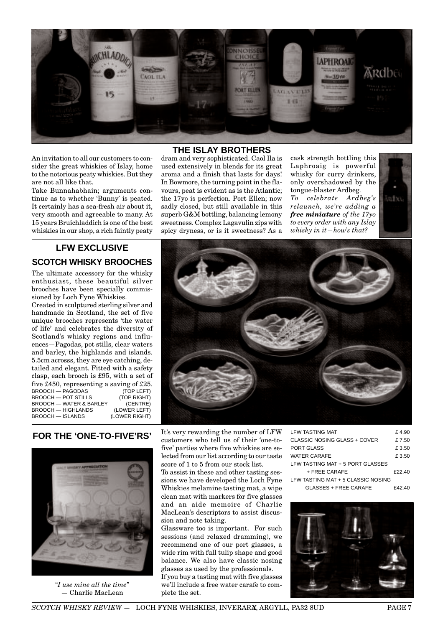

An invitation to all our customers to consider the great whiskies of Islay, home to the notorious peaty whiskies. But they are not all like that.

Take Bunnahabhain; arguments continue as to whether 'Bunny' is peated. It certainly has a sea-fresh air about it, very smooth and agreeable to many. At 15 years Bruichladdich is one of the best whiskies in our shop, a rich faintly peaty

## **LFW EXCLUSIVE SCOTCH WHISKY BROOCHES**

The ultimate accessory for the whisky enthusiast, these beautiful silver brooches have been specially commissioned by Loch Fyne Whiskies.

Created in sculptured sterling silver and handmade in Scotland, the set of five unique brooches represents 'the water of life' and celebrates the diversity of Scotland's whisky regions and influences—Pagodas, pot stills, clear waters and barley, the highlands and islands. 5.5cm acrosss, they are eye catching, detailed and elegant. Fitted with a safety clasp, each brooch is £95, with a set of five £450, representing a saving of £25.<br>BROOCH - PAGODAS (TOP LEFT) **BROOCH — PAGODAS (TOP LEFT)**<br>
BROOCH — POT STILLS (TOP RIGHT) BROOCH — POT STILLS (TOP RIGHT)<br>BROOCH — WATER & BARLEY (CENTRE) BROOCH — WATER & BARLEY (CENTRE)<br>BROOCH — HIGHLANDS (LOWER LEFT) **BROOCH — HIGHLANDS (LOWER LEFT)**<br>BROOCH — ISLANDS (LOWER RIGHT) BROOCH - ISLANDS

#### **THE ISLAY BROTHERS**

dram and very sophisticated. Caol Ila is used extensively in blends for its great aroma and a finish that lasts for days! In Bowmore, the turning point in the flavours, peat is evident as is the Atlantic; the 17yo is perfection. Port Ellen; now sadly closed, but still available in this superb G&M bottling, balancing lemony sweetness. Complex Lagavulin zips with spicy dryness, or is it sweetness? As a

cask strength bottling this Laphroaig is powerful whisky for curry drinkers, only overshadowed by the tongue-blaster Ardbeg. *To celebrate Ardbeg's relaunch, we're adding a free miniature of the 17yo to every order with any Islay whisky in it—how's that?*





## **FOR THE 'ONE-TO-FIVE'RS'**



*"I use mine all the time"* — Charlie MacLean

It's very rewarding the number of LFW customers who tell us of their 'one-tofive' parties where five whiskies are selected from our list according to our taste score of 1 to 5 from our stock list.

To assist in these and other tasting sessions we have developed the Loch Fyne Whiskies melamine tasting mat, a wipe clean mat with markers for five glasses and an aide memoire of Charlie MacLean's descriptors to assist discussion and note taking.

Glassware too is important. For such sessions (and relaxed dramming), we recommend one of our port glasses, a wide rim with full tulip shape and good balance. We also have classic nosing glasses as used by the professionals.

If you buy a tasting mat with five glasses we'll include a free water carafe to complete the set.

| I FW TASTING MAT                   | £4.90  |
|------------------------------------|--------|
| CLASSIC NOSING GLASS + COVER       | £7.50  |
| PORT GLASS                         | £ 3.50 |
| WATER CARAFE                       | £ 3.50 |
| LFW TASTING MAT + 5 PORT GLASSES   |        |
| $+$ FRFF CARAFF                    | £22.40 |
| LFW TASTING MAT + 5 CLASSIC NOSING |        |
| GLASSES + FREE CARAFE              | F42 40 |

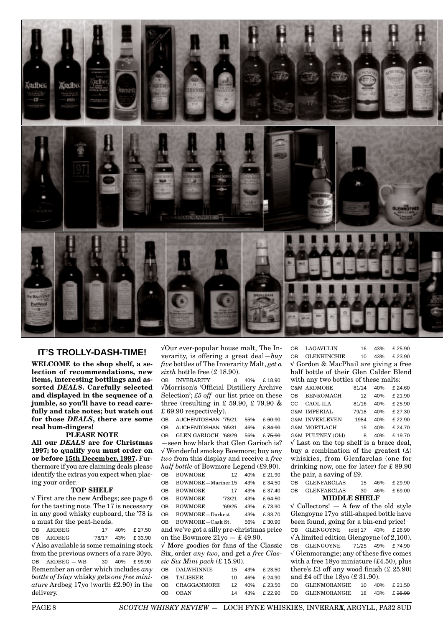

## **IT'S TROLLY-DASH-TIME!**

**WELCOME to the shop shelf, a selection of recommendations, new items, interesting bottlings and assorted** *DEALS***. Carefully selected and displayed in the sequence of a jumble, so you'll have to read carefully and take notes; but watch out for those** *DEALS***' there are some real hum-dingers!**

#### **PLEASE NOTE**

**All our** *DEALS* **are for Christmas 1997; to qualify you must order on or before 15th December, 1997.** Furthermore if you are claiming deals please identify the extras you expect when placing your order.

#### **TOP SHELF**

√ First are the new Ardbegs; see page 6 for the tasting note. The 17 is necessary in any good whisky cupboard, the '78 is a must for the peat-heads.

OB ARDBEG 17 40% £ 27.50 OB ARDBEG '78/17 43% £ 33.90 √ Also available is some remaining stock from the previous owners of a rare 30yo. OB ARDBEG — WB 30 40% £ 99.90 Remember an order which includes *any bottle of Islay* whisky gets *one free miniature* Ardbeg 17yo (worth £2.90) in the delivery.

√Our ever-popular house malt, The Inverarity, is offering a great deal—*buy five* bottles of The Inverarity Malt, *get a sixth* bottle free (£ 18.90).

OB INVERARITY 8 40% £ 18.90 √Morrison's 'Official Distillery Archive Selection'; *£5 off* our list price on these three (resulting in £ 59.90, £ 79.90 & £ 69.90 respectively).

OB AUCHENTOSHAN '75/21 55% £ 60.90 OB AUCHENTOSHAN '65/31 46% £ 84.90 OB GLEN GARIOCH '68/29 56% £ 75.90 —seen how black that Glen Garioch is? √ Wonderful smokey Bowmore; buy any *two* from this display and receive a *free half bottle* of Bowmore Legend (£9.90). OB BOWMORE 12 40% £ 21.90 OB BOWMORE—Mariner 15 43% £ 34.50 OB BOWMORE 17 43% £ 37.40 OB BOWMORE '73/21 43% £ 64.50 OB BOWMORE '69/25 43% £ 73.90 OB BOWMORE-Darkest 43% £ 33.70 OB BOWMORE—Cask St. 56% £ 30.90

and we've got a silly pre-christmas price on the Bowmore  $21y_0 - 0.4999$ . √ More goodies for fans of the Classic

Six, order *any two*, and get a *free Classic Six Mini pack* (£ 15.90).

OB DALWHINNIE 15 43% £ 23.50 OB TALISKER 10 46% £ 24.90 OB CRAGGANMORE 12 40% £ 23.50 OB OBAN 14 43% £ 22.90

OB LAGAVULIN 16 43% £ 25.90 OB GLENKINCHIE 10 43% £ 23.90 √ Gordon & MacPhail are giving a free half bottle of their Glen Calder Blend with any two bottles of these malts: G&M ARDMORE '81/14 40% £ 24.60 OB BENROMACH 12 40% £ 21.90 CC CAOL ILA '81/16 40% £ 25.90 G&M IMPERIAL '79/18 40% £ 27.30 G&M INVERLEVEN 1984 40% £ 22.90 G&M MORTLACH 15 40% £ 24.70

G&M PULTNEY (Old) 8 40% £ 19.70 √ Last on the top shelf is a brace deal, buy a combination of the greatest  $(\Delta)$ whiskies, from Glenfarclas (one for drinking now, one for later) for £ 89.90 the pair, a saving of £9.

| <b>MIDDLE SHELF</b> |                    |    |  |               |  |
|---------------------|--------------------|----|--|---------------|--|
| OB                  | <b>GLENFARCLAS</b> |    |  | 30 46% £69.00 |  |
| OB                  | <b>GLENFARCLAS</b> | 15 |  | 46% £29.90    |  |

 $\sqrt{\text{Collectors}}$ !  $-$  A few of the old style Glengoyne 17yo still-shaped bottle have been found, going for a bin-end price! OB GLENGOYNE (old) 17 43% £ 26.90 √ A limited edition Glengoyne (of 2,100). OB GLENGOYNE '71/25 49% £ 74.90 √ Glenmorangie; any of these five comes with a free 18yo miniature (£4.50), plus there's  $£3$  off any wood finish  $(E25.90)$ and £4 off the 18yo (£ 31.90). OB GLENMORANGIE 10 40% £ 21.50 OB GLENMORANGIE 18 43% £ 35.90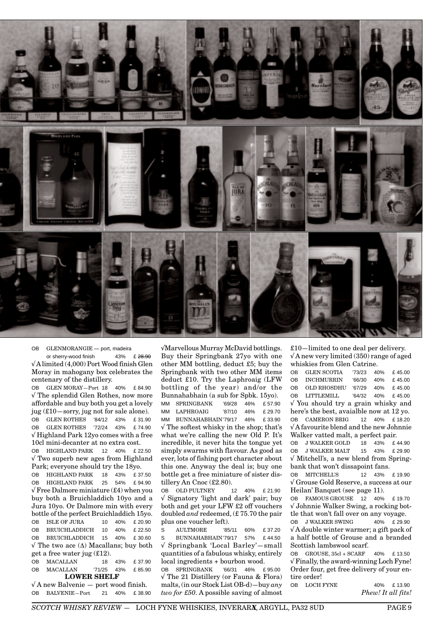

OB GLENMORANGIE — port, madeira or sherry-wood finish  $43\%$  £ 28.90 √A limited (4,000) Port Wood finish Glen Moray in mahogany box celebrates the centenary of the distillery.

OB GLEN MORAY—Port 18 40% £ 84.90 √ The splendid Glen Rothes, now more affordable and buy both you get a lovely jug (£10—sorry, jug not for sale alone). OB GLEN ROTHES '84/12 43% £ 31.90 OB GLEN ROTHES '72/24 43% £ 74.90 √ Highland Park 12yo comes with a free 10cl mini-decanter at no extra cost.

OB HIGHLAND PARK 12 40% £ 22.50 √ Two superb new ages from Highland Park; everyone should try the 18yo.

OB HIGHLAND PARK 18 43% £ 37.50 OB HIGHLAND PARK 25 54% £ 94.90  $\sqrt{\text{Free Dalmore miniature}}$  (£4) when you buy both a Bruichladdich 10yo and a Jura 10yo. Or Dalmore min with every bottle of the perfect Bruichladdich 15yo. OB ISLE OF JURA 10 40% £ 20.90 OB BRUICHLADDICH 10 40% £ 22.50 OB BRUICHLADDICH 15 40% £ 30.60 √ The two ace (∆) Macallans; buy both get a free water jug (£12).

OB MACALLAN 18 43% £ 37.90 OB MACALLAN '71/25 43% £ 85.90 **LOWER SHELF**

√ A new Balvenie — port wood finish. OB BALVENIE-Port 21 40% £ 38.90 √Marvellous Murray McDavid bottlings. Buy their Springbank 27yo with one other MM bottling, deduct £5; buy the Springbank with two other MM items deduct £10. Try the Laphroaig (LFW bottling of the year) and/or the Bunnahabhain (a sub for Spbk. 15yo). MM SPRINGBANK '69/28 46% £ 57.90 MM LAPHROAIG '87/10 46% £ 29.70 MM BUNNAHABHAIN'79/17 46% £ 33.90 √ The softest whisky in the shop; that's what we're calling the new Old P. It's incredible, it never hits the tongue yet simply swarms with flavour. As good as ever, lots of fishing port character about this one. Anyway the deal is; buy one bottle get a free miniature of sister distillery An Cnoc (£2.80).

OB OLD PULTNEY 12 40% £ 21.90 √ Signatory 'light and dark' pair; buy both and get your LFW £2 off vouchers doubled *and* redeemed, (£ 75.70 the pair plus one voucher left).

S AULTMORE '85/11 60% £ 37.20 S BUNNAHABHAIN'79/17 57% £ 44.50 √ Springbank 'Local Barley'—small quantities of a fabulous whisky, entirely local ingredients + bourbon wood.

OB SPRINGBANK '66/31 46% £ 95.00 √ The 21 Distillery (or Fauna & Flora) malts, (in our Stock List OB-d)—buy *any two for £50*. A possible saving of almost

£10—limited to one deal per delivery.  $\sqrt{\rm A}$  new very limited (350) range of aged whiskies from Glen Catrine.

OB GLEN SCOTIA '73/23 40% £ 45.00 OB INCHMURRIN '66/30 40% £ 45.00 OB OLD RHOSDHU '67/29 40% £ 45.00 OB LITTLEMILL '64/32 40% £ 45.00 √ You should try a grain whisky and here's the best, avaialble now at 12 yo. OB CAMERON BRIG 12 40% £ 18.20 √ A favourite blend and the new Johnnie Walker vatted malt, a perfect pair. OB J WALKER GOLD 18 43% £ 44.90 OB J WALKER MALT 15 43% £ 29.90 √ Mitchell's, a new blend from Spring-

bank that won't dissapoint fans. OB MITCHELL'S 12 43% £ 19.90

√ Grouse Gold Reserve, a success at our Heilan' Banquet (see page 11).

OB FAMOUS GROUSE 12 40% £ 19.70 √ Johnnie Walker Swing, a rocking bottle that won't fall over on any voyage.

OB J WALKER SWING 40% £ 29.90 √ A double winter warmer; a gift pack of a half bottle of Grouse and a branded Scottish lambswool scarf.

OB GROUSE, 35cl + SCARF 40% £ 13.50 √ Finally, the award-winning Loch Fyne! Order four, get free delivery of your entire order!

OB LOCH FYNE 40% £13.90 *Phew! It all fits!*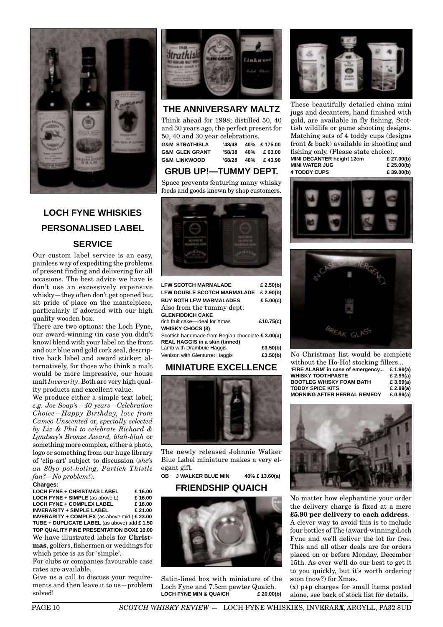

# **LOCH FYNE WHISKIES PERSONALISED LABEL SERVICE**

Our custom label service is an easy, painless way of expediting the problems of present finding and delivering for all occasions. The best advice we have is don't use an excessively expensive whisky—they often don't get opened but sit pride of place on the mantelpiece, particularly if adorned with our high quality wooden box.

There are two options: the Loch Fyne, our award-winning (in case you didn't know) blend with your label on the front and our blue and gold cork seal, descriptive back label and award sticker; alternatively, for those who think a malt would be more impressive, our house malt *Inverarity*. Both are very high quality products and excellent value.

We produce either a simple text label; *e.g. Joe Soap's—40 years—Celebration Choice—Happy Birthday, love from Cameo Unscented* or, *specially selected by Liz & Phil to celebrate Richard & Lyndsay's Bronze Award, blah-blah* or something more complex, either a photo, logo or something from our huge library of 'clip-art' subject to discussion (*she's an 80yo pot-holing, Partick Thistle fan?—No problem!*).

#### **Charges:**

**LOCH FYNE + CHRISTMAS LABEL £ 16.00**<br>**LOCH FYNE + SIMPLE** (as above L) £ 16.00 **LOCH FYNE + SIMPLE** (as above L) **£ 16.00 LOCH FYNE + COMPLEX LABEL £ 18.00 INVERARITY + SIMPLE LABEL INVERARITY + COMPLEX** (as above mid.) **£ 23.00 TUBE + DUPLICATE LABEL** (as above) add **£ 1.50 TOP QUALITY PINE PRESENTATION BOX£ 10.00** We have illustrated labels for **Christmas**, golfers, fishermen or weddings for which price is as for 'simple'.

For clubs or companies favourable case rates are available.

Give us a call to discuss your requirements and then leave it to us—problem solved!



## **THE ANNIVERSARY MALTZ**

Think ahead for 1998; distilled 50, 40 and 30 years ago, the perfect present for 50, 40 and 30 year celebrations.

| <b>G&amp;M STRATHISLA</b> |  | '48/48  40%  £175.00 |
|---------------------------|--|----------------------|
| <b>G&amp;M GLEN GRANT</b> |  | '58/38 40% £63.00    |
| <b>G&amp;M LINKWOOD</b>   |  | '68/28 40% £43.90    |
|                           |  |                      |

## **GRUB UP!—TUMMY DEPT.**

Space prevents featuring many whisky foods and goods known by shop customers.



| <b>LFW SCOTCH MARMALADE</b>                       | £ 2.50(b)   |
|---------------------------------------------------|-------------|
| <b>LFW DOUBLE SCOTCH MARMALADE</b>                | £ 2.90(b)   |
| <b>BUY BOTH LFW MARMALADES</b>                    | £ 5.00(c)   |
| Also from the tummy dept:                         |             |
| <b>GLENFIDDICH CAKE</b>                           |             |
| rich fruit cake-ideal for Xmas                    | £10.75(c)   |
| <b>WHISKY CHOCS (8)</b>                           |             |
| Scottish handmade from Begian chocolate £ 3.00(a) |             |
| <b>REAL HAGGIS in a skin (tinned)</b>             |             |
| Lamb with Drambuie Haggis                         | £3.50 $(b)$ |
| Venison with Glenturret Haggis                    | £3.50(b)    |

## **MINIATURE EXCELLENCE**



The newly released Johnnie Walker Blue Label miniature makes a very elegant gift.

**OB J WALKER BLUE MIN 40% £ 13.60(a)**

#### **FRIENDSHIP QUAICH**



Satin-lined box with miniature of the Loch Fyne and 7.5cm pewter Quaich.<br>LOCH FYNE MIN & QUAICH **LOCH FYNE MIN & QUAICH** 



These beautifully detailed china mini jugs and decanters, hand finished with gold, are available in fly fishing, Scottish wildlife or game shooting designs. Matching sets of 4 toddy cups (designs front & back) available in shooting and fishing only. (Please state choice).<br>MINI DECANTER height 12cm £ 27.00(b) **MINI DECANTER height 12cm** 

**MINI WATER JUG £ 25.00(b) 4 TODDY CUPS £ 39.00(b)**





No Christmas list would be complete without the Ho-Ho! stocking fillers...

| 'FIRE ALARM' in case of emergency  | £ 1.99(a)    |
|------------------------------------|--------------|
| WHISKY TOOTHPASTE                  | £ 2.99 $(a)$ |
| <b>BOOTLEG WHISKY FOAM BATH</b>    | £ $3.99(a)$  |
| TODDY SPICE KITS                   | £ 2.99 $(a)$ |
| <b>MORNING AFTER HERBAL REMEDY</b> | £ $0.99(a)$  |
|                                    |              |



No matter how elephantine your order the delivery charge is fixed at a mere **£5.90 per delivery to each address**. A clever way to avoid this is to include four bottles of The (award-winning)Loch Fyne and we'll deliver the lot for free. This and all other deals are for orders placed on or before Monday, December 15th. As ever we'll do our best to get it to you quickly, but it's worth ordering soon (now?) for Xmas. (x) p+p charges for small items posted

alone, see back of stock list for details.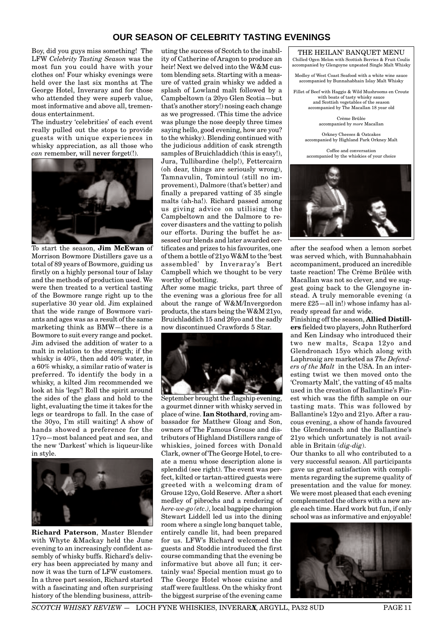## **OUR SEASON OF CELEBRITY TASTING EVENINGS**

Boy, did you guys miss something! The LFW *Celebrity Tasting Season* was the most fun you could have with your clothes on! Four whisky evenings were held over the last six months at The George Hotel, Inveraray and for those who attended they were superb value, most informative and above all, tremendous entertainment.

The industry 'celebrities' of each event really pulled out the stops to provide guests with unique experiences in whisky appreciation, as all those who *can* remember, will never forget(!).



To start the season, **Jim McEwan** of Morrison Bowmore Distillers gave us a total of 89 years of Bowmore, guiding us firstly on a highly personal tour of Islay and the methods of production used. We were then treated to a vertical tasting of the Bowmore range right up to the superlative 30 year old. Jim explained that the wide range of Bowmore variants and ages was as a result of the same marketing think as BMW—there is a Bowmore to suit every range and pocket. Jim advised the addition of water to a malt in relation to the strength; if the whisky is 40%, then add 40% water, in a 60% whisky, a similar ratio of water is preferred. To identify the body in a whisky, a kilted Jim recommended we look at his 'legs'! Roll the spirit around the sides of the glass and hold to the light, evaluating the time it takes for the legs or teardrops to fall. In the case of the 30yo, I'm still waiting! A show of hands showed a preference for the 17yo—most balanced peat and sea, and the new 'Darkest' which is liqueur-like in style.



**Richard Paterson**, Master Blender with Whyte &Mackay held the June evening to an increasingly confident assembly of whisky buffs. Richard's delivery has been appreciated by many and now it was the turn of LFW customers. In a three part session, Richard started with a fascinating and often surprising history of the blending business, attributing the success of Scotch to the inability of Catherine of Aragon to produce an heir! Next we delved into the W&M custom blending sets. Starting with a measure of vatted grain whisky we added a splash of Lowland malt followed by a Campbeltown (a 20yo Glen Scotia—but that's another story!) nosing each change as we progressed. (This time the advice was plunge the nose deeply three times saying hello, good evening, how are you? to the whisky). Blending continued with the judicious addition of cask strength samples of Bruichladdich (this is easy!), Jura, Tullibardine (help!), Fettercairn (oh dear, things are seriously wrong), Tamnavulin, Tomintoul (still no improvement), Dalmore (that's better) and finally a prepared vatting of 35 single malts (ah-ha!). Richard passed among us giving advice on utilising the Campbeltown and the Dalmore to recover disasters and the vatting to polish our efforts. During the buffet he assessed our blends and later awarded certificates and prizes to his favourites, one of them a bottle of 21yo W&M to the 'best assembled' by Inveraray's Bert Campbell which we thought to be very worthy of bottling.

After some magic tricks, part three of the evening was a glorious free for all about the range of W&M/Invergordon products, the stars being the W&M 21yo, Bruichladdich 15 and 26yo and the sadly now discontinued Crawfords 5 Star.



September brought the flagship evening, a gourmet dinner with whisky served in place of wine. **Ian Stothard**, roving ambassador for Matthew Gloag and Son, owners of The Famous Grouse and distributors of Highland Distillers range of whiskies, joined forces with Donald Clark, owner of The George Hotel, to create a menu whose description alone is splendid (see right). The event was perfect, kilted or tartan-attired guests were greeted with a welcoming dram of Grouse 12yo, Gold Reserve. After a short medley of pibrochs and a rendering of *here-we-go (etc.)*, local bagpipe champion Stewart Liddell led us into the dining room where a single long banquet table, entirely candle lit, had been prepared for us. LFW's Richard welcomed the guests and Stoddie introduced the first course commanding that the evening be informative but above all fun; it certainly was! Special mention must go to The George Hotel whose cuisine and staff were faultless. On the whisky front the biggest surprise of the evening came

### THE HEILAN' BANQUET MENU

Chilled Ogen Melon with Scottish Berries & Fruit Coulis accompanied by Glengoyne unpeated Single Malt Whisky

Medley of West Coast Seafood with a white wine sauce accompanied by Bunnahabhain Islay Malt Whisky

Fillet of Beef with Haggis & Wild Mushrooms en Croute with boats of tasty whisky sauce and Scottish vegetables of the season accompanied by The Macallan 18 year old

> Crème Brûlée accompanied by *more* Macallan

Orkney Cheeses & Oatcakes accompanied by Highland Park Orkney Malt

Coffee and conversation accompanied by the whiskies of your choice



after the seafood when a lemon sorbet was served which, with Bunnahabhain accompaniment, produced an incredible taste reaction! The Crème Brûlée with Macallan was not so clever, and we suggest going back to the Glengoyne instead. A truly memorable evening (a mere £25—all in!) whose infamy has already spread far and wide.

Finishing off the season, **Allied Distillers** fielded two players, John Rutherford and Ken Lindsay who introduced their two new malts, Scapa 12yo and Glendronach 15yo which along with Laphroaig are marketed as *The Defenders of the Malt* in the USA. In an interesting twist we then moved onto the 'Cromarty Malt', the vatting of 45 malts used in the creation of Ballantine's Finest which was the fifth sample on our tasting mats. This was followed by Ballantine's 12yo and 21yo. After a raucous evening, a show of hands favoured the Glendronach and the Ballantine's 21yo which unfortunately is not available in Britain (*dig-dig*).

Our thanks to all who contributed to a very successful season. All participants gave us great satisfaction with compliments regarding the supreme quality of presentation and the value for money. We were most pleased that each evening complemented the others with a new angle each time. Hard work but fun, if only school was as informative and enjoyable!

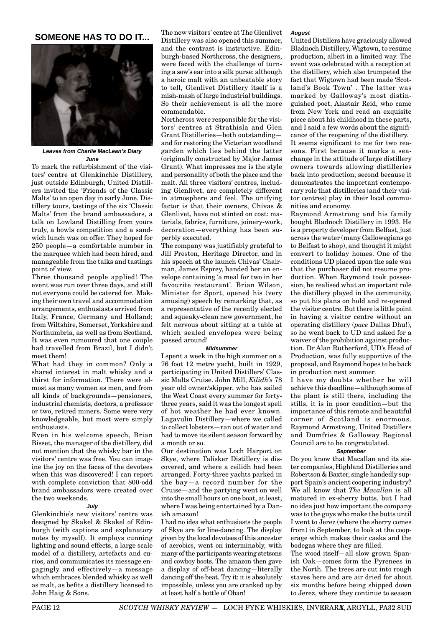#### **SOMEONE HAS TO DO IT...**



**Leaves from Charlie MacLean's Diary June**

To mark the refurbishment of the visitors' centre at Glenkinchie Distillery, just outside Edinburgh, United Distillers invited the 'Friends of the Classic Malts' to an open day in early June. Distillery tours, tastings of the six 'Classic Malts' from the brand ambassadors, a talk on Lowland Distilling from yours truly, a bowls competition and a sandwich lunch was on offer. They hoped for 250 people—a comfortable number in the marquee which had been hired, and manageable from the talks and tastings point of view.

Three thousand people applied! The event was run over three days, and still not everyone could be catered for. Making their own travel and accommodation arrangements, enthusiasts arrived from Italy, France, Germany and Holland; from Wiltshire, Somerset, Yorkshire and Northumbria, as well as from Scotland. It was even rumoured that one couple had travelled from Brazil, but I didn't meet them!

What had they in common? Only a shared interest in malt whisky and a thirst for information. There were almost as many women as men, and from all kinds of backgrounds—pensioners, industrial chemists, doctors, a professor or two, retired miners. Some were very knowledgeable, but most were simply enthusiasts.

Even in his welcome speech, Brian Bisset, the manager of the distillery, did not mention that the whisky bar in the visitors' centre was free. You can imagine the joy on the faces of the devotees when this was discovered! I can report with complete conviction that 800-odd brand ambassadors were created over the two weekends.

#### **July**

Glenkinchie's new visitors' centre was designed by Skakel & Skakel of Edinburgh (with captions and explanatory notes by myself). It employs cunning lighting and sound effects, a large scale model of a distillery, artefacts and curios, and communicates its message engagingly and effectively—a message which embraces blended whisky as well as malt, as befits a distillery licensed to John Haig & Sons.

The new visitors' centre at The Glenlivet Distillery was also opened this summer, and the contrast is instructive. Edinburgh-based Northcross, the designers, were faced with the challenge of turning a sow's ear into a silk purse: although a heroic malt with an unbeatable story to tell, Glenlivet Distillery itself is a mish-mash of large industrial buildings. So their achievement is all the more commendable.

Northcross were responsible for the visitors' centres at Strathisla and Glen Grant Distilleries—both outstanding and for restoring the Victorian woodland garden which lies behind the latter (originally constructed by Major James Grant). What impresses me is the style and personality of both the place and the malt. All three visitors' centres, including Glenlivet, are completely different in atmosphere and feel. The unifying factor is that their owners, Chivas & Glenlivet, have not stinted on cost: materials, fabrics, furniture, joinery-work, decoration—everything has been superbly executed.

The company was justifiably grateful to Jill Preston, Heritage Director, and in his speech at the launch Chivas' Chairman, James Esprey, handed her an envelope containing 'a meal for two in her favourite restaurant'. Brian Wilson, Minister for Sport, opened his (very amusing) speech by remarking that, as a representative of the recently elected and squeaky-clean new government, he felt nervous about sitting at a table at which sealed envelopes were being passed around!

#### **Midsummer**

I spent a week in the high summer on a 76 foot 12 metre yacht, built in 1929, participating in United Distillers' Classic Malts Cruise. John Mill, *Eilidh's* 78 year old owner/skipper, who has sailed the West Coast every summer for fortythree years, said it was the longest spell of hot weather he had ever known. Lagavulin Distillery—where we called to collect lobsters—ran out of water and had to move its silent season forward by a month or so.

Our destination was Loch Harport on Skye, where Talisker Distillery is discovered, and where a ceilidh had been arranged. Forty-three yachts parked in the bay—a record number for the Cruise—and the partying went on well into the small hours on one boat, at least, where I was being entertained by a Danish amazon!

I had no idea what enthusiasts the people of Skye are for line-dancing. The display given by the local devotees of this ancestor of aerobics, went on interminably, with many of the participants wearing stetsons and cowboy boots. The amazon then gave a display of off-beat dancing—literally dancing off the beat. Try it: it is absolutely impossible, unless you are cranked up by at least half a bottle of Oban!

#### **August**

United Distillers have graciously allowed Bladnoch Distillery, Wigtown, to resume production, albeit in a limited way. The event was celebrated with a reception at the distillery, which also trumpeted the fact that Wigtown had been made 'Scotland's Book Town' . The latter was marked by Galloway's most distinguished poet, Alastair Reid, who came from New York and read an exquisite piece about his childhood in these parts, and I said a few words about the significance of the reopening of the distillery. It seems significant to me for two reasons. First because it marks a seachange in the attitude of large distillery owners towards allowing distilleries back into production; second because it demonstrates the important contemporary role that distilleries (and their visitor centres) play in their local communities and economy.

Raymond Armstrong and his family bought Bladnoch Distillery in 1993. He is a property developer from Belfast, just across the water (many Gallowegians go to Belfast to shop), and thought it might convert to holiday homes. One of the conditions UD placed upon the sale was that the purchaser did not resume production. When Raymond took possession, he realised what an important role the distillery played in the community, so put his plans on hold and re-opened the visitor centre. But there is little point in having a visitor centre without an operating distillery (*pace* Dallas Dhu!), so he went back to UD and asked for a waiver of the prohibition against production. Dr Alan Rutherford, UD's Head of Production, was fully supportive of the proposal, and Raymond hopes to be back in production next summer.

I have my doubts whether he will achieve this deadline—although some of the plant is still there, including the stills, it is in poor condition—but the importance of this remote and beautiful corner of Scotland is enormous. Raymond Armstrong, United Distillers and Dumfries & Galloway Regional Council are to be congratulated.

#### **September**

Do you know that Macallan and its sister companies, Highland Distilleries and Robertson & Baxter, single handedly support Spain's ancient coopering industry? We all know that *The Macallan* is all matured in ex-sherry butts, but I had no idea just how important the company was to the guys who make the butts until I went to Jerez (where the sherry comes from) in September, to look at the cooperage which makes their casks and the bodegas where they are filled.

The wood itself—all slow grown Spanish Oak—comes form the Pyrenees in the North. The trees are cut into rough staves here and are air dried for about six months before being shipped down to Jerez, where they continue to season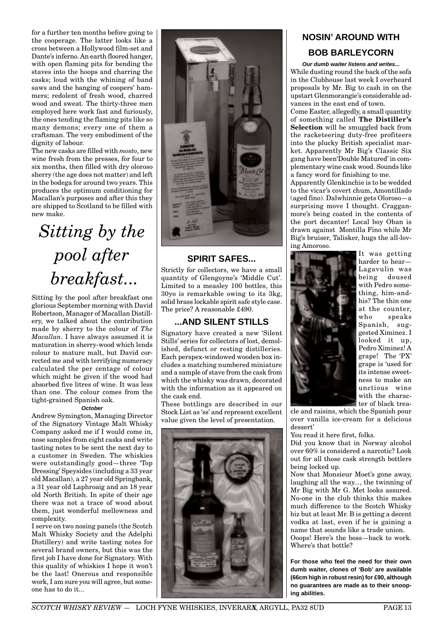for a further ten months before going to the cooperage. The latter looks like a cross between a Hollywood film-set and Dante's inferno. An earth floored hanger, with open flaming pits for bending the staves into the hoops and charring the casks; loud with the whining of band saws and the banging of coopers' hammers; redolent of fresh wood, charred wood and sweat. The thirty-three men employed here work fast and furiously, the ones tending the flaming pits like so many demons; every one of them a craftsman. The very embodiment of the dignity of labour.

The new casks are filled with *mosto*, new wine fresh from the presses, for four to six months, then filled with dry oloroso sherry (the age does not matter) and left in the bodega for around two years. This produces the optimum conditioning for Macallan's purposes and after this they are shipped to Scotland to be filled with new make.

# *Sitting by the pool after breakfast...*

Sitting by the pool after breakfast one glorious September morning with David Robertson, Manager of Macallan Distillery, we talked about the contribution made by sherry to the colour of *The Macallan*. I have always assumed it is maturation in sherry-wood which lends colour to mature malt, but David corrected me and with terrifying numeracy calculated the per centage of colour which might be given if the wood had absorbed five litres of wine. It was less than one. The colour comes from the tight-grained Spanish oak.

#### **October**

Andrew Symington, Managing Director of the Signatory Vintage Malt Whisky Company asked me if I would come in, nose samples from eight casks and write tasting notes to be sent the next day to a customer in Sweden. The whiskies were outstandingly good—three 'Top Dressing' Speysides (including a 33 year old Macallan), a 27 year old Springbank, a 31 year old Laphroaig and an 18 year old North British. In spite of their age there was not a trace of wood about them, just wonderful mellowness and complexity.

I serve on two nosing panels (the Scotch Malt Whisky Society and the Adelphi Distillery) and write tasting notes for several brand owners, but this was the first job I have done for Signatory. With this quality of whiskies I hope it won't be the last! Onerous and responsible work, I am sure you will agree, but someone has to do it...



## **SPIRIT SAFES...**

Strictly for collectors, we have a small quantity of Glengoyne's 'Middle Cut'. Limited to a measley 100 bottles, this 30yo is remarkable owing to its 3kg, solid brass lockable spirit safe style case. The price? A reasonable £490.

## **...AND SILENT STILLS**

Signatory have created a new 'Silent Stills' series for collectors of lost, demolished, defunct or resting distilleries. Each perspex-windowed wooden box includes a matching numbered miniature and a sample of stave from the cask from which the whisky was drawn, decorated with the information as it appeared on the cask end.

These bottlings are described in our Stock List as 'ss' and represent excellent value given the level of presentation.



# **NOSIN' AROUND WITH BOB BARLEYCORN**

**Our dumb waiter listens and writes...** While dusting round the back of the sofa in the Clubhouse last week I overheard proposals by Mr. Big to cash in on the upstart Glenmorangie's considerable advances in the east end of town.

Come Easter, allegedly, a small quantity of something called **The Distiller's Selection** will be smuggled back from the racketeering duty-free profiteers into the plucky British specialist market. Apparently Mr Big's Classic Six gang have been'Double Matured' in complementary wine cask wood. Sounds like a fancy word for finishing to me.

Apparently Glenkinchie is to be wedded to the vicar's covert chum, Amontillado (aged fino). Dalwhinnie gets Oloroso—a surprising move I thought. Cragganmore's being coated in the contents of the port decanter! Local boy Oban is drawn against Montilla Fino while Mr Big's bruiser, Talisker, hugs the all-loving Amoroso.



It was getting harder to hear— Lagavulin was being doused with Pedro something, him-andhis? The thin one at the counter, who speaks Spanish, suggested Ximinez. I looked it up, Pedro Ximinez! A grape! The 'PX' grape is 'used for its intense sweetness to make an unctious wine with the character of black trea-

cle and raisins, which the Spanish pour over vanilla ice-cream for a delicious dessert'

You read it here first, folks.

Did you know that in Norway alcohol over 60% is considered a narcotic? Look out for all those cask strength bottlers being locked up.

Now that Monsieur Moet's gone away, laughing all the way..., the twinning of Mr Big with Mr G. Met looks assured. No-one in the club thinks this makes much difference to the Scotch Whisky biz but at least Mr. B is getting a decent vodka at last, even if he is gaining a name that sounds like a trade union. Ooops! Here's the boss—back to work. Where's that bottle?

**For those who feel the need for their own dumb waiter, clones of 'Bob' are available (66cm high in robust resin) for £90, although no guarantees are made as to their snooping abilities.**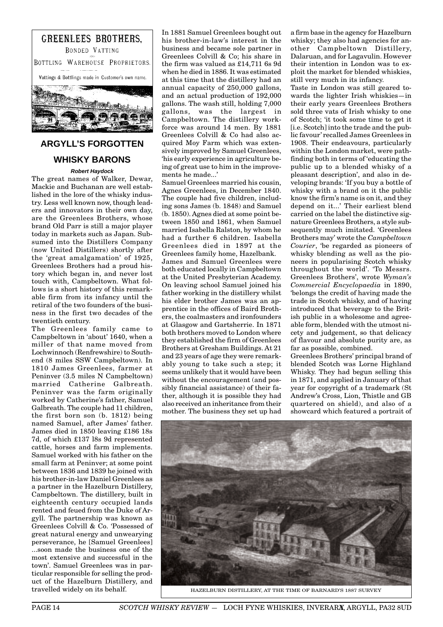

# **ARGYLL'S FORGOTTEN WHISKY BARONS**

#### **Robert Haydock**

The great names of Walker, Dewar, Mackie and Buchanan are well established in the lore of the whisky industry. Less well known now, though leaders and innovators in their own day, are the Greenlees Brothers, whose brand Old Parr is still a major player today in markets such as Japan. Subsumed into the Distillers Company (now United Distillers) shortly after the 'great amalgamation' of 1925, Greenlees Brothers had a proud history which began in, and never lost touch with, Campbeltown. What follows is a short history of this remarkable firm from its infancy until the retiral of the two founders of the business in the first two decades of the twentieth century.

The Greenlees family came to Campbeltown in 'about' 1640, when a miller of that name moved from Lochwinnoch (Renfrewshire) to Southend (8 miles SSW Campbeltown). In 1810 James Greenlees, farmer at Peninver (3.5 miles N Campbeltown) married Catherine Galbreath. Peninver was the farm originally worked by Catherine's father, Samuel Galbreath. The couple had 11 children, the first born son (b. 1812) being named Samuel, after James' father. James died in 1850 leaving £186 18s 7d, of which £137 l8s 9d represented cattle, horses and farm implements. Samuel worked with his father on the small farm at Peninver; at some point between 1836 and 1839 he joined with his brother-in-law Daniel Greenlees as a partner in the Hazelburn Distillery, Campbeltown. The distillery, built in eighteenth century occupied lands rented and feued from the Duke of Argyll. The partnership was known as Greenlees Colvill & Co. 'Possessed of great natural energy and unwearying perseverance, he [Samuel Greenlees] ...soon made the business one of the most extensive and successful in the town'. Samuel Greenlees was in particular responsible for selling the product of the Hazelburn Distillery, and travelled widely on its behalf.

In 1881 Samuel Greenlees bought out his brother-in-law's interest in the business and became sole partner in Greenlees Colvill & Co; his share in the firm was valued as £14,711 6s 9d when he died in 1886. It was estimated at this time that the distillery had an annual capacity of 250,000 gallons, and an actual production of 192,000 gallons. The wash still, holding 7,000 gallons, was the largest in Campbeltown. The distillery workforce was around 14 men. By 1881 Greenlees Colvill & Co had also acquired Moy Farm which was extensively improved by Samuel Greenlees, 'his early experience in agriculture being of great use to him in the improvements he made...'

Samuel Greenlees married his cousin, Agnes Greenlees, in December 1840. The couple had five children, including sons James (b. 1848) and Samuel (b. 1850). Agnes died at some point between 1850 and 1861, when Samuel married Isabella Ralston, by whom he had a further 6 children. Isabella Greenlees died in 1897 at the Greenlees family home, Hazelbank. James and Samuel Greenlees were both educated locally in Campbeltown at the United Presbyterian Academy. On leaving school Samuel joined his father working in the distillery whilst his elder brother James was an apprentice in the offices of Baird Brothers, the coalmasters and ironfounders at Glasgow and Gartsherrie. In 1871 both brothers moved to London where they established the firm of Greenlees Brothers at Gresham Buildings. At 21 and 23 years of age they were remarkably young to take such a step; it seems unlikely that it would have been without the encouragement (and possibly financial assistance) of their father, although it is possible they had also received an inheritance from their mother. The business they set up had a firm base in the agency for Hazelburn whisky; they also had agencies for another Campbeltown Distillery, Dalaruan, and for Lagavulin. However their intention in London was to exploit the market for blended whiskies, still very much in its infancy.

Taste in London was still geared towards the lighter Irish whiskies—in their early years Greenlees Brothers sold three vats of Irish whisky to one of Scotch; 'it took some time to get it [i.e. Scotch] into the trade and the public favour' recalled James Greenlees in 1908. Their endeavours, particularly within the London market, were pathfinding both in terms of 'educating the public up to a blended whisky of a pleasant description', and also in developing brands: 'If you buy a bottle of whisky with a brand on it the public know the firm's name is on it, and they depend on it...' Their earliest blend carried on the label the distinctive signature Greenlees Brothers, a style subsequently much imitated. 'Greenlees Brothers may' wrote the *Campbeltown Courier*, 'be regarded as pioneers of whisky blending as well as the pioneers in popularising Scotch whisky throughout the world'. 'To Messrs. Greenlees Brothers', wrote *Wyman's Commercial Encyclopaedia* in 1890, 'belongs the credit of having made the trade in Scotch whisky, and of having introduced that beverage to the British public in a wholesome and agreeable form, blended with the utmost nicety and judgement, so that delicacy of flavour and absolute purity are, as far as possible, combined.

Greenlees Brothers' principal brand of blended Scotch was Lorne Highland Whisky. They had begun selling this in 1871, and applied in January of that year for copyright of a trademark (St Andrew's Cross, Lion, Thistle and GB quartered on shield), and also of a showcard which featured a portrait of



HAZELBURN DISTILLERY, AT THE TIME OF BARNARD'S 1887 SURVEY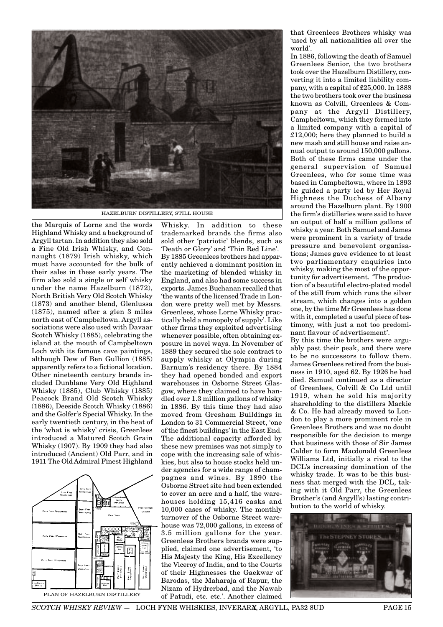

HAZELBURN DISTILLERY, STILL HOUSE

the Marquis of Lorne and the words Highland Whisky and a background of Argyll tartan. In addition they also sold a Fine Old Irish Whisky, and Connaught (1879) Irish whisky, which must have accounted for the bulk of their sales in these early years. The firm also sold a single or self whisky under the name Hazelburn (1872), North British Very Old Scotch Whisky (1873) and another blend, Glenlussa (1875), named after a glen 3 miles north east of Campbeltown. Argyll associations were also used with Davaar Scotch Whisky (1885), celebrating the island at the mouth of Campbeltown Loch with its famous cave paintings, although Dew of Ben Gullion (1885) apparently refers to a fictional location. Other nineteenth century brands included Dunblane Very Old Highland Whisky (1885), Club Whisky (1885) Peacock Brand Old Scotch Whisky (1886), Deeside Scotch Whisky (1886) and the Golfer's Special Whisky. In the early twentieth century, in the heat of the 'what is whisky' crisis, Greenlees introduced a Matured Scotch Grain Whisky (1907). By 1909 they had also introduced (Ancient) Old Parr, and in 1911 The Old Admiral Finest Highland



Whisky. In addition to these trademarked brands the firms also sold other 'patriotic' blends, such as 'Death or Glory' and 'Thin Red Line'. By 1885 Greenlees brothers had apparently achieved a dominant position in the marketing of blended whisky in England, and also had some success in exports. James Buchanan recalled that 'the wants of the licensed Trade in London were pretty well met by Messrs. Greenlees, whose Lorne Whisky practically held a monopoly of supply'. Like other firms they exploited advertising whenever possible, often obtaining exposure in novel ways. In November of 1889 they secured the sole contract to supply whisky at Olympia during Barnum's residency there. By 1884 they had opened bonded and export warehouses in Osborne Street Glasgow, where they claimed to have handled over 1.3 million gallons of whisky in 1886. By this time they had also moved from Gresham Buildings in London to 31 Commercial Street, 'one of the finest buildings' in the East End. The additional capacity afforded by these new premises was not simply to cope with the increasing sale of whiskies, but also to house stocks held under agencies for a wide range of champagnes and wines. By 1890 the Osborne Street site had been extended to cover an acre and a half, the warehouses holding 15,416 casks and 10,000 cases of whisky. The monthly turnover of the Osborne Street warehouse was 72,000 gallons, in excess of 3.5 million gallons for the year. Greenlees Brothers brands were supplied, claimed one advertisement, 'to His Majesty the King, His Excellency the Viceroy of India, and to the Courts of their Highnesses the Gaekwar of Barodas, the Maharaja of Rapur, the Nizam of Hydrerbad, and the Nawab of Patudi, etc. etc.'. Another claimed

that Greenlees Brothers whisky was 'used by all nationalities all over the world'.

In 1886, following the death of Samuel Greenlees Senior, the two brothers took over the Hazelburn Distillery, converting it into a limited liability company, with a capital of £25,000. In 1888 the two brothers took over the business known as Colvill, Greenlees & Company at the Argyll Distillery, Campbeltown, which they formed into a limited company with a capital of £12,000; here they planned to build a new mash and still house and raise annual output to around 150,000 gallons. Both of these firms came under the general supervision of Samuel Greenlees, who for some time was based in Campbeltown, where in 1893 he guided a party led by Her Royal Highness the Duchess of Albany around the Hazelburn plant. By 1900 the firm's distilleries were said to have an output of half a million gallons of whisky a year. Both Samuel and James were prominent in a variety of trade pressure and benevolent organisations; James gave evidence to at least two parliamentary enquiries into whisky, making the most of the opportunity for advertisement. 'The production of a beautiful electro-plated model of the still from which runs the silver stream, which changes into a golden one, by the time Mr Greenlees has done with it, completed a useful piece of testimony, with just a not too predominant flavour of advertisement'.

By this time the brothers were arguably past their peak, and there were to be no successors to follow them. James Greenlees retired from the business in 1910, aged 62. By 1926 he had died. Samuel continued as a director of Greenlees, Colvill & Co Ltd until 1919, when he sold his majority shareholding to the distillers Mackie & Co. He had already moved to London to play a more prominent role in Greenlees Brothers and was no doubt responsible for the decision to merge that business with those of Sir James Calder to form Macdonald Greenlees Williams Ltd, initially a rival to the DCL's increasing domination of the whisky trade. It was to be this business that merged with the DCL, taking with it Old Parr, the Greenlees Brother's (and Argyll's) lasting contribution to the world of whisky.